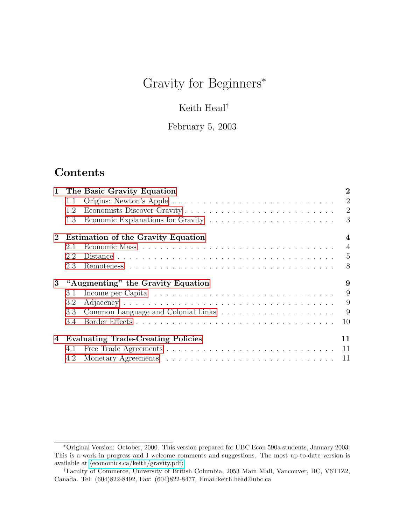# Gravity for Beginners<sup>\*</sup>

# Keith Head $^\dagger$

### February 5, 2003

# Contents

| $\mathbf{1}$          |                                           | The Basic Gravity Equation                | $\bf{2}$       |
|-----------------------|-------------------------------------------|-------------------------------------------|----------------|
|                       | 1.1                                       |                                           | $\overline{2}$ |
|                       | 1.2                                       |                                           | $\overline{2}$ |
|                       | 1.3                                       |                                           | 3              |
| $\mathbf{2}^{\prime}$ | <b>Estimation of the Gravity Equation</b> |                                           |                |
|                       | 2.1                                       |                                           | $\overline{4}$ |
|                       | 2.2                                       |                                           | 5              |
|                       | 2.3                                       |                                           | 8              |
| 3                     | "Augmenting" the Gravity Equation         |                                           |                |
|                       | 3.1                                       |                                           |                |
|                       |                                           |                                           | 9              |
|                       | 3.2                                       |                                           | 9              |
|                       | 3.3                                       |                                           | - 9            |
|                       | 3.4                                       |                                           | 10             |
| 4                     |                                           | <b>Evaluating Trade-Creating Policies</b> | 11             |
|                       | 4.1                                       |                                           | 11             |

<sup>∗</sup>Original Version: October, 2000. This version prepared for UBC Econ 590a students, January 2003. This is a work in progress and I welcome comments and suggestions. The most up-to-date version is available at  $\langle$ [economics.ca/keith/gravity.pdf](http://economics.ca/keith/gravity.pdf) $\rangle$ 

<sup>†</sup>Faculty of Commerce, University of British Columbia, 2053 Main Mall, Vancouver, BC, V6T1Z2, Canada. Tel: (604)822-8492, Fax: (604)822-8477, Email:keith.head@ubc.ca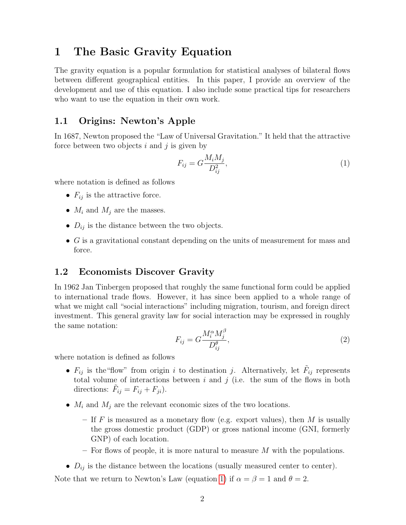## <span id="page-1-0"></span>1 The Basic Gravity Equation

The gravity equation is a popular formulation for statistical analyses of bilateral flows between different geographical entities. In this paper, I provide an overview of the development and use of this equation. I also include some practical tips for researchers who want to use the equation in their own work.

### <span id="page-1-1"></span>1.1 Origins: Newton's Apple

In 1687, Newton proposed the "Law of Universal Gravitation." It held that the attractive force between two objects  $i$  and  $j$  is given by

<span id="page-1-3"></span>
$$
F_{ij} = G \frac{M_i M_j}{D_{ij}^2},\tag{1}
$$

where notation is defined as follows

- $F_{ij}$  is the attractive force.
- $M_i$  and  $M_j$  are the masses.
- $D_{ij}$  is the distance between the two objects.
- $\bullet$  G is a gravitational constant depending on the units of measurement for mass and force.

#### <span id="page-1-2"></span>1.2 Economists Discover Gravity

In 1962 Jan Tinbergen proposed that roughly the same functional form could be applied to international trade flows. However, it has since been applied to a whole range of what we might call "social interactions" including migration, tourism, and foreign direct investment. This general gravity law for social interaction may be expressed in roughly the same notation:

$$
F_{ij} = G \frac{M_i^{\alpha} M_j^{\beta}}{D_{ij}^{\theta}},\tag{2}
$$

where notation is defined as follows

- $F_{ij}$  is the "flow" from origin i to destination j. Alternatively, let  $\tilde{F}_{ij}$  represents total volume of interactions between  $i$  and  $j$  (i.e. the sum of the flows in both directions:  $\tilde{F}_{ij} = F_{ij} + F_{ji}$ .
- $M_i$  and  $M_j$  are the relevant economic sizes of the two locations.
	- If F is measured as a monetary flow (e.g. export values), then M is usually the gross domestic product (GDP) or gross national income (GNI, formerly GNP) of each location.
	- For flows of people, it is more natural to measure  $M$  with the populations.
- $D_{ij}$  is the distance between the locations (usually measured center to center).

Note that we return to Newton's Law (equation [1\)](#page-1-3) if  $\alpha = \beta = 1$  and  $\theta = 2$ .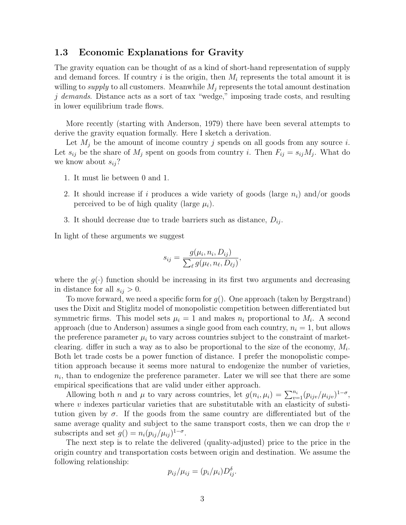#### <span id="page-2-0"></span>1.3 Economic Explanations for Gravity

The gravity equation can be thought of as a kind of short-hand representation of supply and demand forces. If country i is the origin, then  $M_i$  represents the total amount it is willing to *supply* to all customers. Meanwhile  $M_i$  represents the total amount destination j demands. Distance acts as a sort of tax "wedge," imposing trade costs, and resulting in lower equilibrium trade flows.

More recently (starting with Anderson, 1979) there have been several attempts to derive the gravity equation formally. Here I sketch a derivation.

Let  $M_i$  be the amount of income country j spends on all goods from any source i. Let  $s_{ij}$  be the share of  $M_j$  spent on goods from country i. Then  $F_{ij} = s_{ij}M_j$ . What do we know about  $s_{ij}$ ?

- 1. It must lie between 0 and 1.
- 2. It should increase if i produces a wide variety of goods (large  $n_i$ ) and/or goods perceived to be of high quality (large  $\mu_i$ ).
- 3. It should decrease due to trade barriers such as distance,  $D_{ij}$ .

In light of these arguments we suggest

$$
s_{ij} = \frac{g(\mu_i, n_i, D_{ij})}{\sum_{\ell} g(\mu_{\ell}, n_{\ell}, D_{\ell j})},
$$

where the  $g(\cdot)$  function should be increasing in its first two arguments and decreasing in distance for all  $s_{ij} > 0$ .

To move forward, we need a specific form for  $q()$ . One approach (taken by Bergstrand) uses the Dixit and Stiglitz model of monopolistic competition between differentiated but symmetric firms. This model sets  $\mu_i = 1$  and makes  $n_i$  proportional to  $M_i$ . A second approach (due to Anderson) assumes a single good from each country,  $n_i = 1$ , but allows the preference parameter  $\mu_i$  to vary across countries subject to the constraint of marketclearing. differ in such a way as to also be proportional to the size of the economy,  $M_i$ . Both let trade costs be a power function of distance. I prefer the monopolistic competition approach because it seems more natural to endogenize the number of varieties,  $n_i$ , than to endogenize the preference parameter. Later we will see that there are some empirical specifications that are valid under either approach.

Allowing both *n* and  $\mu$  to vary across countries, let  $g(n_i, \mu_i) = \sum_{v=1}^{n_i} (p_{ijv}/\mu_{ijv})^{1-\sigma}$ , where  $v$  indexes particular varieties that are substitutable with an elasticity of substitution given by  $\sigma$ . If the goods from the same country are differentiated but of the same average quality and subject to the same transport costs, then we can drop the  $v$ subscripts and set  $g() = n_i (p_{ij}/\mu_{ij})^{1-\sigma}$ .

The next step is to relate the delivered (quality-adjusted) price to the price in the origin country and transportation costs between origin and destination. We assume the following relationship:

$$
p_{ij}/\mu_{ij} = (p_i/\mu_i)D_{ij}^{\delta}.
$$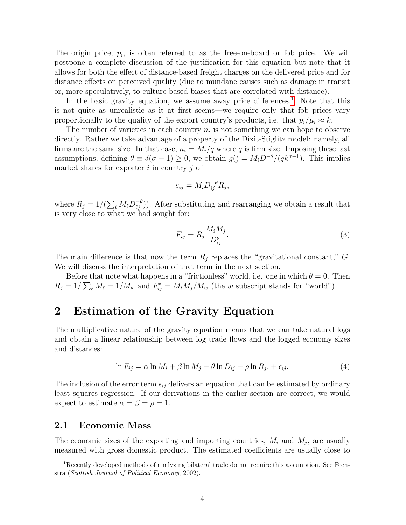The origin price,  $p_i$ , is often referred to as the free-on-board or fob price. We will postpone a complete discussion of the justification for this equation but note that it allows for both the effect of distance-based freight charges on the delivered price and for distance effects on perceived quality (due to mundane causes such as damage in transit or, more speculatively, to culture-based biases that are correlated with distance).

In the basic gravity equation, we assume away price differences.<sup>[1](#page-3-2)</sup> Note that this is not quite as unrealistic as it at first seems—we require only that fob prices vary proportionally to the quality of the export country's products, i.e. that  $p_i/\mu_i \approx k$ .

The number of varieties in each country  $n_i$  is not something we can hope to observe directly. Rather we take advantage of a property of the Dixit-Stiglitz model: namely, all firms are the same size. In that case,  $n_i = M_i/q$  where q is firm size. Imposing these last assumptions, defining  $\theta \equiv \delta(\sigma - 1) \geq 0$ , we obtain  $g() = M_i D^{-\theta}/(qk^{\sigma-1})$ . This implies market shares for exporter  $i$  in country  $j$  of

$$
s_{ij} = M_i D_{ij}^{-\theta} R_j,
$$

where  $R_j = 1/(\sum_{\ell} M_{\ell} D_{\ell j}^{-\theta})$ . After substituting and rearranging we obtain a result that is very close to what we had sought for:

$$
F_{ij} = R_j \frac{M_i M_j}{D_{ij}^{\theta}}.
$$
\n
$$
(3)
$$

The main difference is that now the term  $R_j$  replaces the "gravitational constant," G. We will discuss the interpretation of that term in the next section.

Before that note what happens in a "frictionless" world, i.e. one in which  $\theta = 0$ . Then  $R_j = 1/\sum_{\ell} M_{\ell} = 1/M_w$  and  $F_{ij}^* = M_i M_j/M_w$  (the w subscript stands for "world").

## <span id="page-3-0"></span>2 Estimation of the Gravity Equation

The multiplicative nature of the gravity equation means that we can take natural logs and obtain a linear relationship between log trade flows and the logged economy sizes and distances:

<span id="page-3-3"></span>
$$
\ln F_{ij} = \alpha \ln M_i + \beta \ln M_j - \theta \ln D_{ij} + \rho \ln R_j + \epsilon_{ij}.
$$
\n(4)

The inclusion of the error term  $\epsilon_{ij}$  delivers an equation that can be estimated by ordinary least squares regression. If our derivations in the earlier section are correct, we would expect to estimate  $\alpha = \beta = \rho = 1$ .

#### <span id="page-3-1"></span>2.1 Economic Mass

The economic sizes of the exporting and importing countries,  $M_i$  and  $M_j$ , are usually measured with gross domestic product. The estimated coefficients are usually close to

<span id="page-3-2"></span><sup>&</sup>lt;sup>1</sup>Recently developed methods of analyzing bilateral trade do not require this assumption. See Feenstra (Scottish Journal of Political Economy, 2002).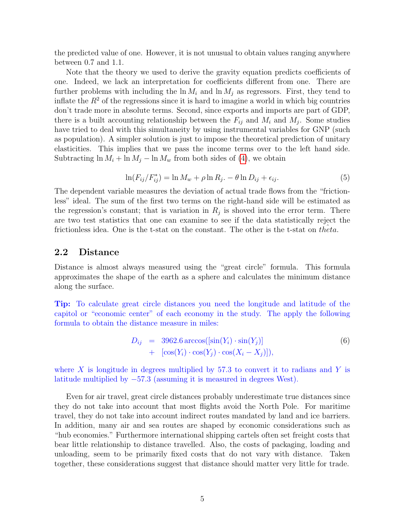the predicted value of one. However, it is not unusual to obtain values ranging anywhere between 0.7 and 1.1.

Note that the theory we used to derive the gravity equation predicts coefficients of one. Indeed, we lack an interpretation for coefficients different from one. There are further problems with including the  $\ln M_i$  and  $\ln M_j$  as regressors. First, they tend to inflate the  $R^2$  of the regressions since it is hard to imagine a world in which big countries don't trade more in absolute terms. Second, since exports and imports are part of GDP, there is a built accounting relationship between the  $F_{ij}$  and  $M_i$  and  $M_j$ . Some studies have tried to deal with this simultaneity by using instrumental variables for GNP (such as population). A simpler solution is just to impose the theoretical prediction of unitary elasticities. This implies that we pass the income terms over to the left hand side. Subtracting  $\ln M_i + \ln M_j - \ln M_w$  from both sides of [\(4\)](#page-3-3), we obtain

$$
\ln(F_{ij}/F_{ij}^*) = \ln M_w + \rho \ln R_j. - \theta \ln D_{ij} + \epsilon_{ij}.
$$
\n
$$
(5)
$$

The dependent variable measures the deviation of actual trade flows from the "frictionless" ideal. The sum of the first two terms on the right-hand side will be estimated as the regression's constant; that is variation in  $R_j$  is shoved into the error term. There are two test statistics that one can examine to see if the data statistically reject the frictionless idea. One is the t-stat on the constant. The other is the t-stat on *theta*.

#### <span id="page-4-0"></span>2.2 Distance

Distance is almost always measured using the "great circle" formula. This formula approximates the shape of the earth as a sphere and calculates the minimum distance along the surface.

Tip: To calculate great circle distances you need the longitude and latitude of the capitol or "economic center" of each economy in the study. The apply the following formula to obtain the distance measure in miles:

$$
D_{ij} = 3962.6 \arccos([\sin(Y_i) \cdot \sin(Y_j)] + [\cos(Y_i) \cdot \cos(Y_j) \cdot \cos(X_i - X_j)]
$$
 (6)

where  $X$  is longitude in degrees multiplied by 57.3 to convert it to radians and  $Y$  is latitude multiplied by −57.3 (assuming it is measured in degrees West).

Even for air travel, great circle distances probably underestimate true distances since they do not take into account that most flights avoid the North Pole. For maritime travel, they do not take into account indirect routes mandated by land and ice barriers. In addition, many air and sea routes are shaped by economic considerations such as "hub economies." Furthermore international shipping cartels often set freight costs that bear little relationship to distance travelled. Also, the costs of packaging, loading and unloading, seem to be primarily fixed costs that do not vary with distance. Taken together, these considerations suggest that distance should matter very little for trade.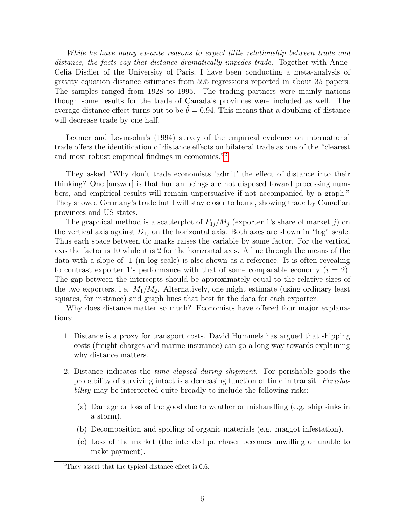While he have many ex-ante reasons to expect little relationship between trade and distance, the facts say that distance dramatically impedes trade. Together with Anne-Celia Disdier of the University of Paris, I have been conducting a meta-analysis of gravity equation distance estimates from 595 regressions reported in about 35 papers. The samples ranged from 1928 to 1995. The trading partners were mainly nations though some results for the trade of Canada's provinces were included as well. The average distance effect turns out to be  $\theta = 0.94$ . This means that a doubling of distance will decrease trade by one half.

Leamer and Levinsohn's (1994) survey of the empirical evidence on international trade offers the identification of distance effects on bilateral trade as one of the "clearest and most robust empirical findings in economics."[2](#page-5-0)

They asked "Why don't trade economists 'admit' the effect of distance into their thinking? One [answer] is that human beings are not disposed toward processing numbers, and empirical results will remain unpersuasive if not accompanied by a graph." They showed Germany's trade but I will stay closer to home, showing trade by Canadian provinces and US states.

The graphical method is a scatterplot of  $F_{1j}/M_j$  (exporter 1's share of market j) on the vertical axis against  $D_{1i}$  on the horizontal axis. Both axes are shown in "log" scale. Thus each space between tic marks raises the variable by some factor. For the vertical axis the factor is 10 while it is 2 for the horizontal axis. A line through the means of the data with a slope of -1 (in log scale) is also shown as a reference. It is often revealing to contrast exporter 1's performance with that of some comparable economy  $(i = 2)$ . The gap between the intercepts should be approximately equal to the relative sizes of the two exporters, i.e.  $M_1/M_2$ . Alternatively, one might estimate (using ordinary least squares, for instance) and graph lines that best fit the data for each exporter.

Why does distance matter so much? Economists have offered four major explanations:

- 1. Distance is a proxy for transport costs. David Hummels has argued that shipping costs (freight charges and marine insurance) can go a long way towards explaining why distance matters.
- 2. Distance indicates the *time elapsed during shipment*. For perishable goods the probability of surviving intact is a decreasing function of time in transit. Perishability may be interpreted quite broadly to include the following risks:
	- (a) Damage or loss of the good due to weather or mishandling (e.g. ship sinks in a storm).
	- (b) Decomposition and spoiling of organic materials (e.g. maggot infestation).
	- (c) Loss of the market (the intended purchaser becomes unwilling or unable to make payment).

<span id="page-5-0"></span> $2$ They assert that the typical distance effect is 0.6.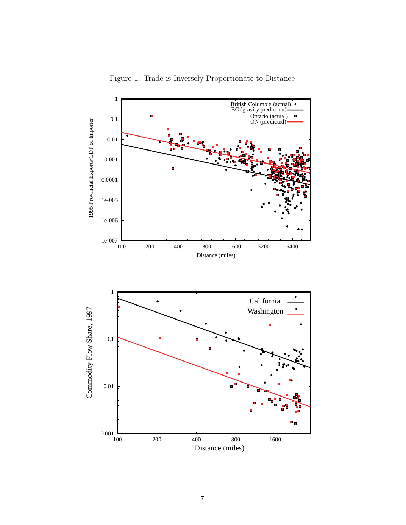

Figure 1: Trade is Inversely Proportionate to Distance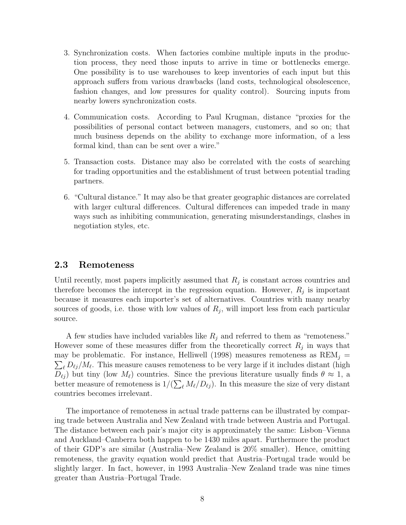- 3. Synchronization costs. When factories combine multiple inputs in the production process, they need those inputs to arrive in time or bottlenecks emerge. One possibility is to use warehouses to keep inventories of each input but this approach suffers from various drawbacks (land costs, technological obsolescence, fashion changes, and low pressures for quality control). Sourcing inputs from nearby lowers synchronization costs.
- 4. Communication costs. According to Paul Krugman, distance "proxies for the possibilities of personal contact between managers, customers, and so on; that much business depends on the ability to exchange more information, of a less formal kind, than can be sent over a wire."
- 5. Transaction costs. Distance may also be correlated with the costs of searching for trading opportunities and the establishment of trust between potential trading partners.
- 6. "Cultural distance." It may also be that greater geographic distances are correlated with larger cultural differences. Cultural differences can impeded trade in many ways such as inhibiting communication, generating misunderstandings, clashes in negotiation styles, etc.

#### <span id="page-7-0"></span>2.3 Remoteness

Until recently, most papers implicitly assumed that  $R_j$  is constant across countries and therefore becomes the intercept in the regression equation. However,  $R_j$  is important because it measures each importer's set of alternatives. Countries with many nearby sources of goods, i.e. those with low values of  $R_j$ , will import less from each particular source.

A few studies have included variables like  $R_i$  and referred to them as "remoteness." However some of these measures differ from the theoretically correct  $R_j$  in ways that may be problematic. For instance, Helliwell (1998) measures remoteness as  $\text{REM}_j =$  $\sum_{\ell} D_{\ell j}/M_{\ell}$ . This measure causes remoteness to be very large if it includes distant (high  $D_{\ell j}$ ) but tiny (low  $M_{\ell}$ ) countries. Since the previous literature usually finds  $\theta \approx 1$ , a better measure of remoteness is  $1/(\sum_{\ell} M_{\ell}/D_{\ell j})$ . In this measure the size of very distant countries becomes irrelevant.

The importance of remoteness in actual trade patterns can be illustrated by comparing trade between Australia and New Zealand with trade between Austria and Portugal. The distance between each pair's major city is approximately the same: Lisbon–Vienna and Auckland–Canberra both happen to be 1430 miles apart. Furthermore the product of their GDP's are similar (Australia–New Zealand is 20% smaller). Hence, omitting remoteness, the gravity equation would predict that Austria–Portugal trade would be slightly larger. In fact, however, in 1993 Australia–New Zealand trade was nine times greater than Austria–Portugal Trade.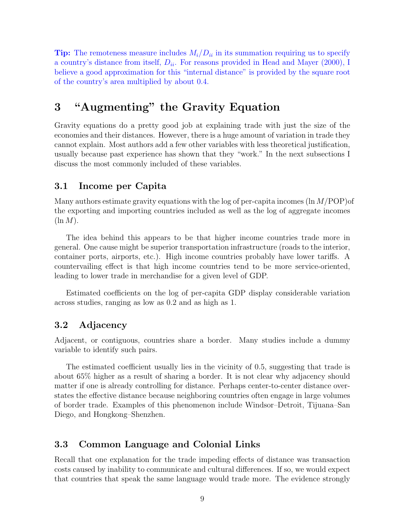**Tip:** The remoteness measure includes  $M_i/D_{ii}$  in its summation requiring us to specify a country's distance from itself,  $D_{ii}$ . For reasons provided in Head and Mayer (2000), I believe a good approximation for this "internal distance" is provided by the square root of the country's area multiplied by about 0.4.

# <span id="page-8-0"></span>3 "Augmenting" the Gravity Equation

Gravity equations do a pretty good job at explaining trade with just the size of the economies and their distances. However, there is a huge amount of variation in trade they cannot explain. Most authors add a few other variables with less theoretical justification, usually because past experience has shown that they "work." In the next subsections I discuss the most commonly included of these variables.

#### <span id="page-8-1"></span>3.1 Income per Capita

Many authors estimate gravity equations with the log of per-capita incomes  $(\ln M/POP)$ the exporting and importing countries included as well as the log of aggregate incomes  $(\ln M)$ .

The idea behind this appears to be that higher income countries trade more in general. One cause might be superior transportation infrastructure (roads to the interior, container ports, airports, etc.). High income countries probably have lower tariffs. A countervailing effect is that high income countries tend to be more service-oriented, leading to lower trade in merchandise for a given level of GDP.

Estimated coefficients on the log of per-capita GDP display considerable variation across studies, ranging as low as 0.2 and as high as 1.

### <span id="page-8-2"></span>3.2 Adjacency

Adjacent, or contiguous, countries share a border. Many studies include a dummy variable to identify such pairs.

The estimated coefficient usually lies in the vicinity of 0.5, suggesting that trade is about 65% higher as a result of sharing a border. It is not clear why adjacency should matter if one is already controlling for distance. Perhaps center-to-center distance overstates the effective distance because neighboring countries often engage in large volumes of border trade. Examples of this phenomenon include Windsor–Detroit, Tijuana–San Diego, and Hongkong–Shenzhen.

#### <span id="page-8-3"></span>3.3 Common Language and Colonial Links

Recall that one explanation for the trade impeding effects of distance was transaction costs caused by inability to communicate and cultural differences. If so, we would expect that countries that speak the same language would trade more. The evidence strongly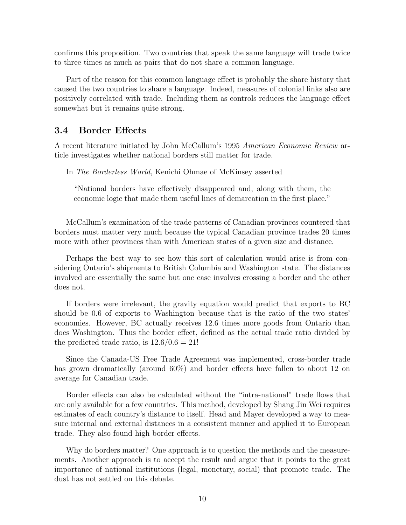confirms this proposition. Two countries that speak the same language will trade twice to three times as much as pairs that do not share a common language.

Part of the reason for this common language effect is probably the share history that caused the two countries to share a language. Indeed, measures of colonial links also are positively correlated with trade. Including them as controls reduces the language effect somewhat but it remains quite strong.

#### <span id="page-9-0"></span>3.4 Border Effects

A recent literature initiated by John McCallum's 1995 American Economic Review article investigates whether national borders still matter for trade.

In The Borderless World, Kenichi Ohmae of McKinsey asserted

"National borders have effectively disappeared and, along with them, the economic logic that made them useful lines of demarcation in the first place."

McCallum's examination of the trade patterns of Canadian provinces countered that borders must matter very much because the typical Canadian province trades 20 times more with other provinces than with American states of a given size and distance.

Perhaps the best way to see how this sort of calculation would arise is from considering Ontario's shipments to British Columbia and Washington state. The distances involved are essentially the same but one case involves crossing a border and the other does not.

If borders were irrelevant, the gravity equation would predict that exports to BC should be 0.6 of exports to Washington because that is the ratio of the two states' economies. However, BC actually receives 12.6 times more goods from Ontario than does Washington. Thus the border effect, defined as the actual trade ratio divided by the predicted trade ratio, is  $12.6/0.6 = 21!$ 

Since the Canada-US Free Trade Agreement was implemented, cross-border trade has grown dramatically (around 60%) and border effects have fallen to about 12 on average for Canadian trade.

Border effects can also be calculated without the "intra-national" trade flows that are only available for a few countries. This method, developed by Shang Jin Wei requires estimates of each country's distance to itself. Head and Mayer developed a way to measure internal and external distances in a consistent manner and applied it to European trade. They also found high border effects.

Why do borders matter? One approach is to question the methods and the measurements. Another approach is to accept the result and argue that it points to the great importance of national institutions (legal, monetary, social) that promote trade. The dust has not settled on this debate.